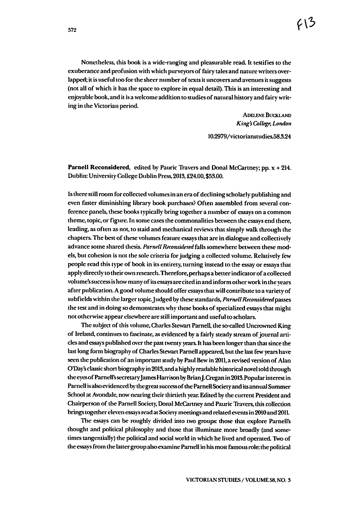Nonetheless, this book is a wide-ranging and pleasurable read. It testifies to the exuberance and profusion with which purveyors of fairy tales and nature writers overlapped; it is useful too for the sheer number of texts it uncovers and avenues it suggests (not all of which it has the space to explore in equal detail).This is an interesting and enjoyable book, and it is a welcome addition to studies of natural history and fairy writing in the Victorian period.

> **ADELENE BUCKLAND King'sCollege, London**

105979/victorianstudies583.24

*Parnell Reconsidered,* edited by Pauric Traversand Donal McCartney; pp. x + 214. Dublin: University College Dublin Press,2013, £24.00,\$53.00.

Istherestillroomforcollected volumesinaneraof declining scholarly publishingand even faster diminishing library book purchases? Often assembled from several con ference panels, these books typically bring together a number of essays on a common theme, topic, or figure. In some cases the commonalities between the essays end there, leading, as often as not, to staid and mechanical reviews that simply walk through the chapters. The best of these volumes feature essays that are in dialogue and collectively advance some shared thesis. **Parnell Reconsidered** falls somewhere between these mod els, but cohesion is not the sole criteria for judging a collected volume. Relatively few people read this type of book in its entirety, turning instead to the essay or essays that apply directly to their own research. Therefore, perhaps a better indicator of a collected volume'ssuccessishowmanyof itsessaysarecitedinand informother workin the years after publication.Agood volumeshouldoffer essaysthat willcontribute to a varietyof subfields within the larger topic. Judged by these standards, Parnell Reconsidered passes the test and in doing so demonstrates why these books of specialized essays that might not otherwise appear elsewhere are still important and useful to scholars.

The subject of this volume, Charles Stewart Parnell, the so-called Uncrowned King of Ireland,continues to fascinate, as evidenced bya fairlysteadystream ofjournal arti cles and essays published over the past twenty years. It has been longer than that since the last long form biography of Charles Stewart Parnell appeared, but the last few years have seen the publication of an important study by Paul Bew in 2011, a revised version of Alan ODay'sclassic shortbiographyin2013, andahighlyreadablehistorical novel toldthrough the eyes of Parnell's secretary James Harrison by Brian J. Cregan in 2013. Popular interest in Parnell is also evidenced by the great success of the Parnell Society and its annual Summer School at Avondale, now nearing their thirtieth year. Edited by the current President and Chairperson of the Parnell Society, Donal McCartney and Pauric Travers, this collection bringstogether elevenessaysread at Societymeetingsand related events in 2010and 2011.

The essays can be roughly divided into two groups those that explore Parnells thought and political philosophy and those that illuminate more broadly (and sometimes tangentially) the political and social world in which he lived and operated. Two of the essays from the latter group also examine Parnell in his most famous role: the political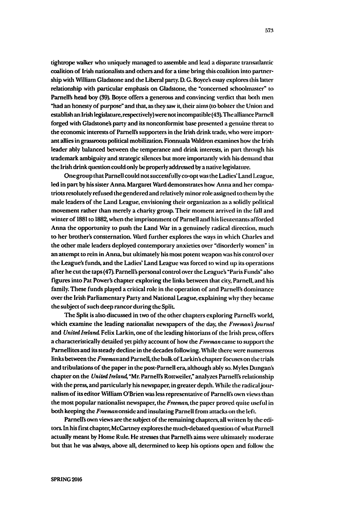tightrope walker who uniquely managed to assemble and lead a disparate transatlantic coalition of Irish nationalists and others and for a time bring this coalition into partnership with William Gladstone and the Liberal party. D. G. Boyce's essay explores this latter relationship with particular emphasis on Gladstone, the "concerned schoolmaster" to Parnell's head boy (39). Boyce offers a generous and convincing verdict that both men "had an honesty of purpose" and that, as they saw it, their aims (to bolster the Union and establish an Irish legislature, respectively) were not incompatible (43). The alliance Parnell forged with Gladstone's party and its nonconformist base presented a genuine threat to the economic interests of Parnell's supporters in the Irish drink trade, who were important allies in grassroots political mobilization. Fionnuala Waldron examines how the Irish leader ably balanced between the temperance and drink interests, in part through his trademark ambiguity and strategic silences but more importantly with his demand that the Irish drink question could only be properly addressed by a native legislature.

One group that Parnell could not successfully co-opt was the Ladies' Land League, led in part by his sister Anna. Margaret Ward demonstrates how Anna and her compatriots resolutely refused the gendered and relatively minor role assigned to them by the male leaders of the Land League, envisioning their organization as a solidly political movement rather than merely a charity group. Their moment arrived in the fall and winter of 1881 to 1882, when the imprisonment of Parnell and his lieutenants afforded Anna the opportunity to push the Land War in a genuinely radical direction, much to her brother's consternation. Ward further explores the ways in which Charles and the other male leaders deployed contemporary anxieties over "disorderly women" in an attempt to rein in Anna, but ultimately his most potent weapon was his control over the League's funds, and the Ladies' Land League was forced to wind up its operations after he cut the taps (47). Parnell's personal control over the League's "Paris Funds" also figures into Pat Power's chapter exploring the links between that city, Parnell, and his family. These funds played a critical role in the operation of and Parnell's dominance over the Irish Parliamentary Party and National League, explaining why they became the subject of such deep rancor during the Split.

The Split is also discussed in two of the other chapters exploring Parnell's world, which examine the leading nationalist newspapers of the day, the Freeman's Journal and United Ireland Felix Larkin, one of the leading historians of the Irish press, offers a characteristically detailed yet pithy account of how the Freeman came to support the Parnellites and its steady decline in the decades following. While there were numerous links between the Freeman and Parnell, the bulk of Larkin's chapter focuses on the trials and tribulations of the paper in the post-Parnell era, although ably so. Myles Dungan's chapter on the United Ireland, "Mr. Parnell's Rottweiler," analyzes Parnell's relationship with the press, and particularly his newspaper, in greater depth. While the radical journalism of its editor William O'Brien was less representative of Parnell's own views than the most popular nationalist newspaper, the Freeman, the paper proved quite useful in both keeping the Freeman onside and insulating Parnell from attacks on the left.

Parnell's own views are the subject of the remaining chapters, all written by the editors. In his first chapter, McCartney explores the much-debated question of what Parnell actually meant by Home Rule. He stresses that Parnell's aims were ultimately moderate but that he was always, above all, determined to keep his options open and follow the